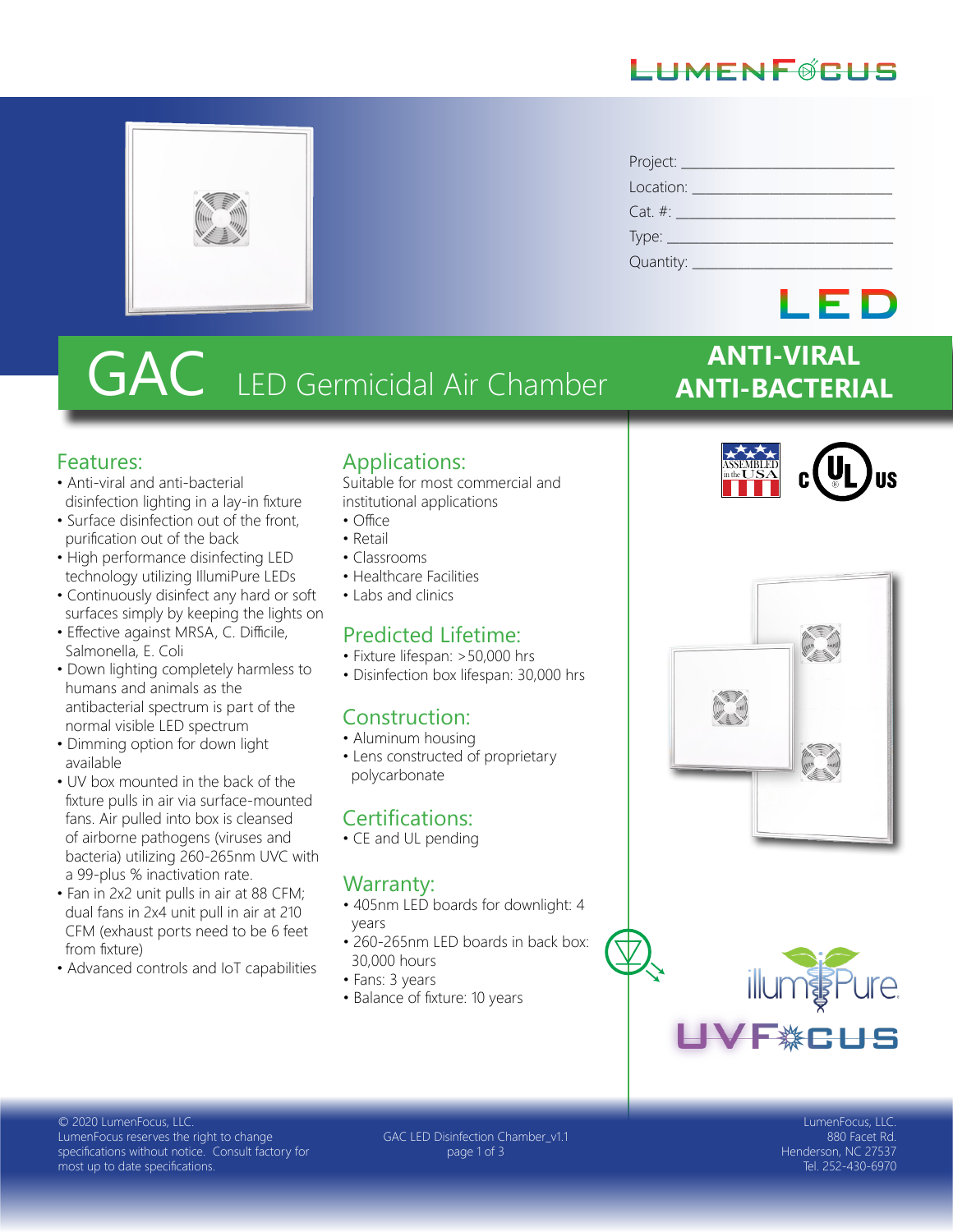#### LHMENFØRHS



| Project: __    |
|----------------|
| Location: ____ |
| $Cat. \#:$     |
| Type: $\_$     |
| Quantity:      |

# GAC LED Germicidal Air Chamber

#### Features:

- Anti-viral and anti-bacterial disinfection lighting in a lay-in fixture
- Surface disinfection out of the front, purification out of the back
- High performance disinfecting LED technology utilizing IllumiPure LEDs
- Continuously disinfect any hard or soft surfaces simply by keeping the lights on
- Effective against MRSA, C. Difficile, Salmonella, E. Coli
- Down lighting completely harmless to humans and animals as the antibacterial spectrum is part of the normal visible LED spectrum
- Dimming option for down light available
- UV box mounted in the back of the fixture pulls in air via surface-mounted fans. Air pulled into box is cleansed of airborne pathogens (viruses and bacteria) utilizing 260-265nm UVC with a 99-plus % inactivation rate.
- Fan in 2x2 unit pulls in air at 88 CFM; dual fans in 2x4 unit pull in air at 210 CFM (exhaust ports need to be 6 feet from fixture)
- Advanced controls and IoT capabilities

#### Applications:

Suitable for most commercial and institutional applications

- Office
- Retail
- Classrooms
- Healthcare Facilities
- Labs and clinics

#### Predicted Lifetime:

- Fixture lifespan: >50,000 hrs
- Disinfection box lifespan: 30,000 hrs

#### Construction:

- Aluminum housing
- Lens constructed of proprietary polycarbonate

#### Certifications:

• CE and UL pending

#### Warranty:

- 405nm LED boards for downlight: 4 years
- 260-265nm LED boards in back box: 30,000 hours
- Fans: 3 years
- Balance of fixture: 10 years



**ANTI-VIRAL**

LED

**ANTI-BACTERIAL**





© 2020 LumenFocus, LLC. LumenFocus reserves the right to change specifications without notice. Consult factory for most up to date specifications.

GAC LED Disinfection Chamber\_v1.1 page 1 of 3

LumenFocus, LLC. 880 Facet Rd. Henderson, NC 27537 Tel. 252-430-6970